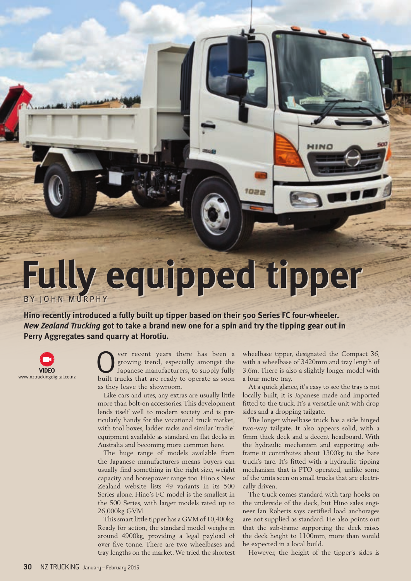## **Fully equipped tipper** BY JOHN MURPHY

**Hino recently introduced a fully built up tipper based on their 500 Series FC four-wheeler.** *New Zealand Trucking* **got to take a brand new one for a spin and try the tipping gear out in Perry Aggregates sand quarry at Horotiu.**



ver recent years there has been a growing trend, especially amongst the Japanese manufacturers, to supply fully built trucks that are ready to operate as soon as they leave the showroom.

Like cars and utes, any extras are usually little more than bolt-on accessories. This development lends itself well to modern society and is particularly handy for the vocational truck market, with tool boxes, ladder racks and similar 'tradie' equipment available as standard on flat decks in Australia and becoming more common here.

The huge range of models available from the Japanese manufacturers means buyers can usually find something in the right size, weight capacity and horsepower range too. Hino's New Zealand website lists 49 variants in its 500 Series alone. Hino's FC model is the smallest in the 500 Series, with larger models rated up to 26,000kg GVM

This smart little tipper has a GVM of 10,400kg. Ready for action, the standard model weighs in around 4900kg, providing a legal payload of over five tonne. There are two wheelbases and tray lengths on the market. We tried the shortest wheelbase tipper, designated the Compact 36, with a wheelbase of 3420mm and tray length of 3.6m. There is also a slightly longer model with a four metre tray.

HINO

1022

At a quick glance, it's easy to see the tray is not locally built, it is Japanese made and imported fitted to the truck. It's a versatile unit with drop sides and a dropping tailgate.

The longer wheelbase truck has a side hinged two-way tailgate. It also appears solid, with a 6mm thick deck and a decent headboard. With the hydraulic mechanism and supporting subframe it contributes about 1300kg to the bare truck's tare. It's fitted with a hydraulic tipping mechanism that is PTO operated, unlike some of the units seen on small trucks that are electrically driven.

The truck comes standard with tarp hooks on the underside of the deck, but Hino sales engineer Ian Roberts says certified load anchorages are not supplied as standard. He also points out that the sub-frame supporting the deck raises the deck height to 1100mm, more than would be expected in a local build.

However, the height of the tipper's sides is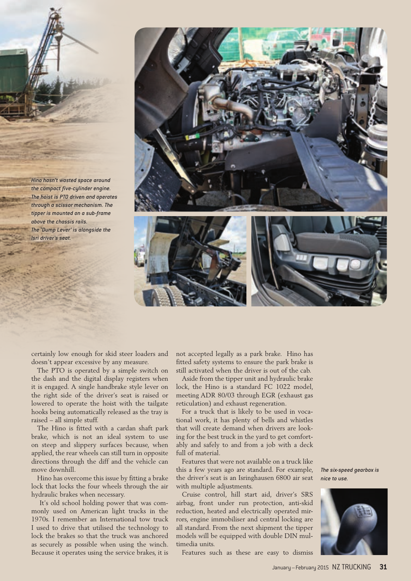



certainly low enough for skid steer loaders and doesn't appear excessive by any measure.

The PTO is operated by a simple switch on the dash and the digital display registers when it is engaged. A single handbrake style lever on the right side of the driver's seat is raised or lowered to operate the hoist with the tailgate hooks being automatically released as the tray is raised – all simple stuff.

The Hino is fitted with a cardan shaft park brake, which is not an ideal system to use on steep and slippery surfaces because, when applied, the rear wheels can still turn in opposite directions through the diff and the vehicle can move downhill.

Hino has overcome this issue by fitting a brake lock that locks the four wheels through the air hydraulic brakes when necessary.

 It's old school holding power that was commonly used on American light trucks in the 1970s. I remember an International tow truck I used to drive that utilised the technology to lock the brakes so that the truck was anchored as securely as possible when using the winch. Because it operates using the service brakes, it is

not accepted legally as a park brake. Hino has fitted safety systems to ensure the park brake is still activated when the driver is out of the cab.

Aside from the tipper unit and hydraulic brake lock, the Hino is a standard FC 1022 model, meeting ADR 80/03 through EGR (exhaust gas reticulation) and exhaust regeneration.

For a truck that is likely to be used in vocational work, it has plenty of bells and whistles that will create demand when drivers are looking for the best truck in the yard to get comfortably and safely to and from a job with a deck full of material.

Features that were not available on a truck like this a few years ago are standard. For example, the driver's seat is an Isringhausen 6800 air seat with multiple adjustments.

Cruise control, hill start aid, driver's SRS airbag, front under run protection, anti-skid reduction, heated and electrically operated mirrors, engine immobiliser and central locking are all standard. From the next shipment the tipper models will be equipped with double DIN multimedia units.

Features such as these are easy to dismiss

*The six-speed gearbox is nice to use.*

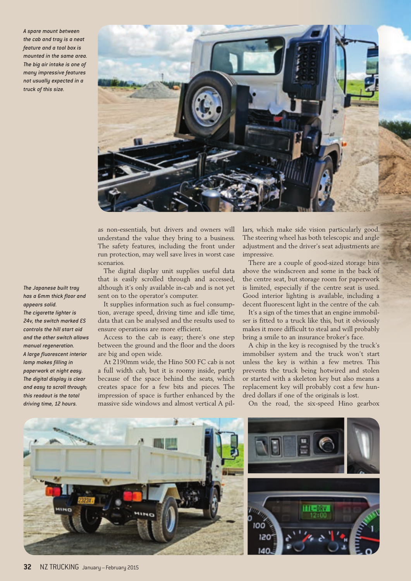*A spare mount between the cab and tray is a neat feature and a tool box is mounted in the same area. The big air intake is one of many impressive features not usually expected in a truck of this size.*



as non-essentials, but drivers and owners will understand the value they bring to a business. The safety features, including the front under run protection, may well save lives in worst case scenarios.

The digital display unit supplies useful data that is easily scrolled through and accessed, although it's only available in-cab and is not yet sent on to the operator's computer.

It supplies information such as fuel consumption, average speed, driving time and idle time, data that can be analysed and the results used to ensure operations are more efficient.

Access to the cab is easy; there's one step between the ground and the floor and the doors are big and open wide.

At 2190mm wide, the Hino 500 FC cab is not a full width cab, but it is roomy inside, partly because of the space behind the seats, which creates space for a few bits and pieces. The impression of space is further enhanced by the massive side windows and almost vertical A pillars, which make side vision particularly good. The steering wheel has both telescopic and angle adjustment and the driver's seat adjustments are impressive.

There are a couple of good-sized storage bins above the windscreen and some in the back of the centre seat, but storage room for paperwork is limited, especially if the centre seat is used. Good interior lighting is available, including a decent fluorescent light in the centre of the cab.

It's a sign of the times that an engine immobilser is fitted to a truck like this, but it obviously makes it more difficult to steal and will probably bring a smile to an insurance broker's face.

A chip in the key is recognised by the truck's immobilser system and the truck won't start unless the key is within a few metres. This prevents the truck being hotwired and stolen or started with a skeleton key but also means a replacement key will probably cost a few hundred dollars if one of the originals is lost.

On the road, the six-speed Hino gearbox





*The Japanese built tray has a 6mm thick floor and appears solid. The cigarette lighter is 24v, the switch marked ES controls the hill start aid and the other switch allows manual regeneration. A large fluorescent interior* 

*lamp makes filling in paperwork at night easy. The digital display is clear and easy to scroll through; this readout is the total driving time, 12 hours.*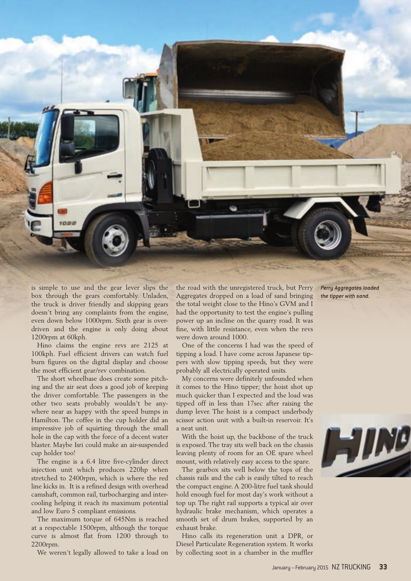

is simple to use and the gear lever slips the box through the gears comfortably. Unladen, the truck is driver friendly and skipping gears doesn't bring any complaints from the engine, even down below 1000rpm. Sixth gear is overdriven and the engine is only doing about 1200rpm at 60kph.

Hino claims the engine revs are 2125 at 100kph. Fuel efficient drivers can watch fuel burn figures on the digital display and choose the most efficient gear/rev combination.

The short wheelbase does create some pitching and the air seat does a good job of keeping the driver comfortable. The passengers in the other two seats probably wouldn't be anywhere near as happy with the speed bumps in Hamilton. The coffee in the cup holder did an impressive job of squirting through the small hole in the cap with the force of a decent water blaster. Maybe Isri could make an air-suspended cup holder too!

The engine is a 6.4 litre five-cylinder direct injection unit which produces 220hp when stretched to 2400rpm, which is where the red line kicks in. It is a refined design with overhead camshaft, common rail, turbocharging and intercooling helping it reach its maximum potential and low Euro 5 compliant emissions.

The maximum torque of 645Nm is reached at a respectable 1500rpm, although the torque curve is almost flat from 1200 through to 2200rpm.

We weren't legally allowed to take a load on

the road with the unregistered truck, but Perry Aggregates dropped on a load of sand bringing the total weight close to the Hino's GVM and I had the opportunity to test the engine's pulling power up an incline on the quarry road. It was fine, with little resistance, even when the revs were down around 1000.

One of the concerns I had was the speed of tipping a load. I have come across Japanese tippers with slow tipping speeds, but they were probably all electrically operated units.

My concerns were definitely unfounded when it comes to the Hino tipper; the hoist shot up much quicker than I expected and the load was tipped off in less than 17sec after raising the dump lever. The hoist is a compact underbody scissor action unit with a built-in reservoir. It's a neat unit.

With the hoist up, the backbone of the truck is exposed. The tray sits well back on the chassis leaving plenty of room for an OE spare wheel mount, with relatively easy access to the spare.

The gearbox sits well below the tops of the chassis rails and the cab is easily tilted to reach the compact engine. A 200-litre fuel tank should hold enough fuel for most day's work without a top up. The right rail supports a typical air over hydraulic brake mechanism, which operates a smooth set of drum brakes, supported by an exhaust brake.

Hino calls its regeneration unit a DPR, or Diesel Particulate Regeneration system. It works by collecting soot in a chamber in the muffler *Perry Aggregates loaded the tipper with sand.*